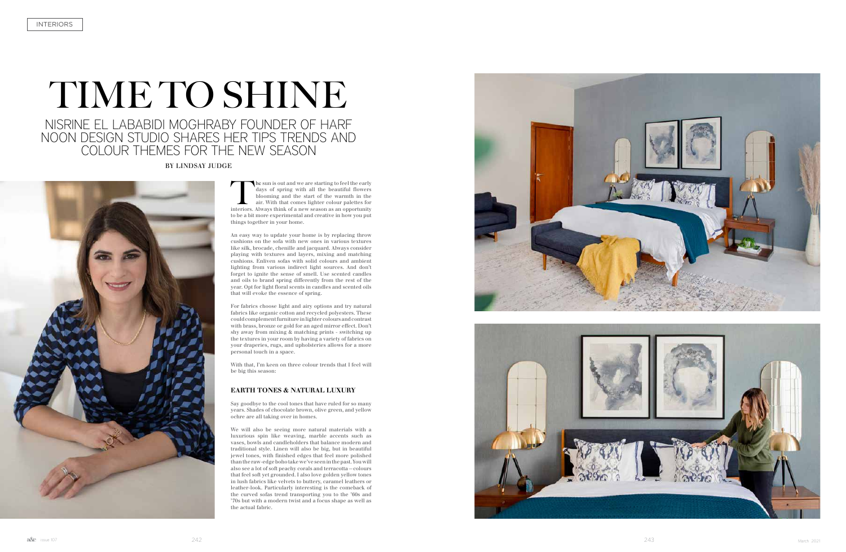# TIME TO SHINE

# NISRINE EL LABABIDI MOGHRABY FOUNDER OF HARF NOON DESIGN STUDIO SHARES HER TIPS TRENDS AND COLOUR THEMES FOR THE NEW SEASON

The sun is out and we are starting to feel the early days of spring with all the beautiful flowers blooming and the start of the warmth in the air. With that comes lighter colour palettes for interiors. Always think of a n days of spring with all the beautiful flowers blooming and the start of the warmth in the air. With that comes lighter colour palettes for interiors. Always think of a new season as an opportunity to be a bit more experimental and creative in how you put things together in your home.

An easy way to update your home is by replacing throw cushions on the sofa with new ones in various textures like silk, brocade, chenille and jacquard. Always consider playing with textures and layers, mixing and matching cushions. Enliven sofas with solid colours and ambient lighting from various indirect light sources. And don't forget to ignite the sense of smell. Use scented candles and oils to brand spring differently from the rest of the year. Opt for light floral scents in candles and scented oils that will evoke the essence of spring.

For fabrics choose light and airy options and try natural fabrics like organic cotton and recycled polyesters. These could complement furniture in lighter colours and contrast with brass, bronze or gold for an aged mirror effect. Don't shy away from mixing & matching prints - switching up the textures in your room by having a variety of fabrics on your draperies, rugs, and upholsteries allows for a more personal touch in a space.

With that, I'm keen on three colour trends that I feel will be big this season:

### **EARTH TONES & NATURAL LUXURY**

Say goodbye to the cool tones that have ruled for so many years. Shades of chocolate brown, olive green, and yellow ochre are all taking over in homes.

We will also be seeing more natural materials with a luxurious spin like weaving, marble accents such as vases, bowls and candleholders that balance modern and traditional style. Linen will also be big, but in beautiful jewel tones, with finished edges that feel more polished than the raw-edge boho take we've seen in the past. You will also see a lot of soft peachy corals and terracotta—colours that feel soft yet grounded. I also love golden yellow tones in lush fabrics like velvets to buttery, caramel leathers or leather-look. Particularly interesting is the comeback of the curved sofas trend transporting you to the '60s and '70s but with a modern twist and a focus shape as well as the actual fabric.





BY LINDSAY JUDGE

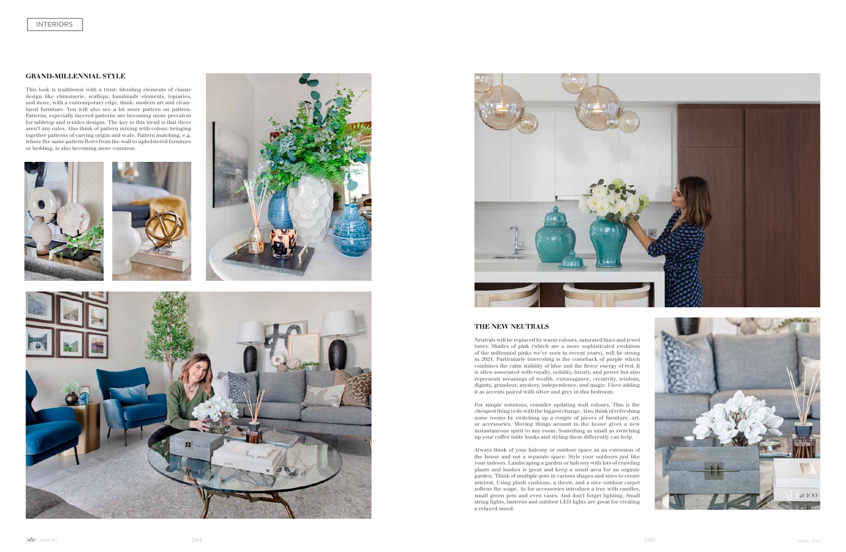#### **GRAND-MILLENNIAL STYLE**

This look is traditional with a twist: blending elements of classic design like chinoiserie, scallops, handmade elements, topiaries, and more, with a contemporary edge, think: modern art and cleanlined furniture. You will also see a lot more pattern on pattern. Patterns, especially layered patterns are becoming more prevalent for tabletop and textiles designs. The key to this trend is that there aren't any rules. Also think of pattern mixing with colour, bringing together patterns of varying origin and scale. Pattern matching, e.g. where the same pattern flows from the wall to upholstered furniture or bedding, is also becoming more common.











## **THE NEW NEUTRALS**

Neutrals will be replaced by warm colours, saturated hues and jewel tones. Shades of pink (which are a more sophisticated evolution of the millennial pinks we've seen in recent years), will be strong in 2021. Particularly interesting is the comeback of purple which combines the calm stability of blue and the fierce energy of red. It is often associated with royalty, nobility, luxury, and power but also represents meanings of wealth, extravagance, creativity, wisdom, dignity, grandeur, mystery, independence, and magic. I love adding it as accents paired with silver and grey in this bedroom.

For simple solutions, consider updating wall colours. This is the cheapest thing to do with the biggest change. Also, think of refreshing some rooms by switching up a couple of pieces of furniture, art, or accessories. Moving things around in the house gives a new instantaneous spirit to any room. Something as small as switching up your coffee table books and styling them differently can help.

Always think of your balcony or outdoor space as an extension of the house and not a separate space. Style your outdoors just like your indoors. Landscaping a garden or balcony with lots of crawling plants and bushes is great and keep a small area for an organic garden. Think of multiple pots in various shapes and sizes to create interest. Using plush cushions, a throw, and a nice outdoor carpet softens the scape. As for accessories introduce a tray with candles, small green pots and even vases. And don't forget lighting. Small string lights, lanterns and outdoor LED lights are great for creating a relaxed mood.